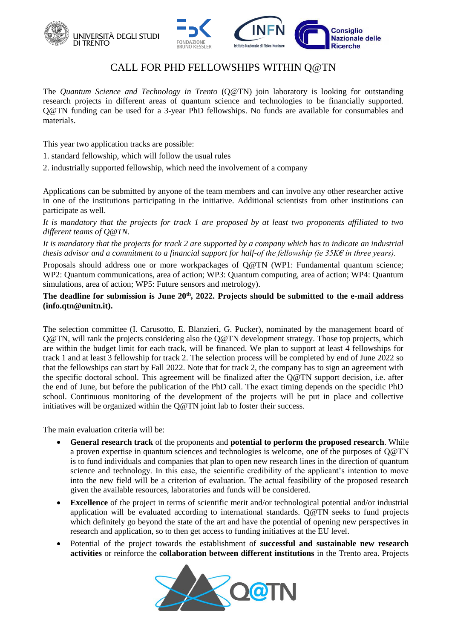



# CALL FOR PHD FELLOWSHIPS WITHIN Q@TN

The *Quantum Science and Technology in Trento* [\(Q@TN\)](mailto:Q@TN) join laboratory is looking for outstanding research projects in different areas of quantum science and technologies to be financially supported. [Q@TN](mailto:2021.Q@TN) funding can be used for a 3-year PhD fellowships. No funds are available for consumables and materials.

This year two application tracks are possible:

- 1. standard fellowship, which will follow the usual rules
- 2. industrially supported fellowship, which need the involvement of a company

[Applications](mailto:2021.Q@TN) [can be submitted by anyone of the team members](../../2021%20Q@TN/PhD%20positions/2019%20Q@TN/2018%20Q@TN/can%20be%20submitted%20by%20anyone%20of%20the%20team%20members%20(list%20at%20https:/www.quantumtrento.eu/?page_id=9)%20and%20can%20involve%20any%20other%20researcher%20active) and can involve any other researcher active [in one of the institutions participating in the initiative.](mailto:2021.Q@TN) Additional scientists from other institutions can participate as well.

*It is mandatory that the projects for track 1 are proposed by at least two proponents affiliated to two different teams of Q@TN*.

*It is mandatory that the projects for track 2 are supported by a company which has to indicate an industrial thesis advisor and a commitment to a financial support for half-of the fellowship (ie 35K€ in three years).*

Proposals should address one or more workpackages of [Q@TN](mailto:Q@TN) (WP1: Fundamental quantum science; WP2: Quantum communications, area of action; WP3: Quantum computing, area of action; WP4: Quantum simulations, area of action; WP5: Future sensors and metrology).

### **The deadline for submission is June 20th, 2022. Projects should be submitted to the e-mail address (info.qtn@unitn.it).**

The selection committee (I. Carusotto, E. Blanzieri, G. Pucker), nominated by the management board of Q@TN, will rank the projects considering also the Q@TN development strategy. Those top projects, which are within the budget limit for each track, will be financed. We plan to support at least 4 fellowships for track 1 and at least 3 fellowship for track 2. The selection process will be completed by end of June 2022 so that the fellowships can start by Fall 2022. Note that for track 2, the company has to sign an agreement with the specific doctoral school. This agreement will be finalized after the Q@TN support decision, i.e. after the end of June, but before the publication of the PhD call. The exact timing depends on the specidic PhD school. Continuous monitoring of the development of the projects will be put in place and collective initiatives will be organized within the [Q@TN](mailto:Q@TN) joint lab to foster their success.

The main evaluation criteria will be:

- **General research track** of the proponents and **potential to perform the proposed research**. While a proven expertise in quantum sciences and technologies is welcome, one of the purposes of [Q@TN](mailto:Q@TN) is to fund individuals and companies that plan to open new research lines in the direction of quantum science and technology. In this case, the scientific credibility of the applicant's intention to move into the new field will be a criterion of evaluation. The actual feasibility of the proposed research given the available resources, laboratories and funds will be considered.
- **Excellence** of the project in terms of scientific merit and/or technological potential and/or industrial application will be evaluated according to international standards. [Q@TN](mailto:Q@TN) seeks to fund projects which definitely go beyond the state of the art and have the potential of opening new perspectives in research and application, so to then get access to funding initiatives at the EU level.
- Potential of the project towards the establishment of **successful and sustainable new research activities** or reinforce the **collaboration between different institutions** in the Trento area. Projects

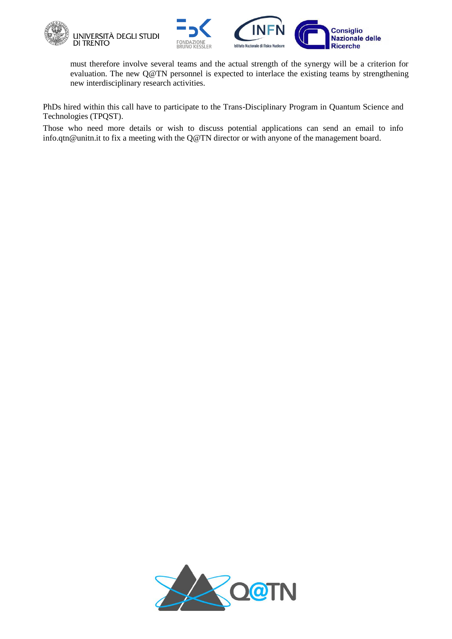



must therefore involve several teams and the actual strength of the synergy will be a criterion for evaluation. The new [Q@TN](mailto:Q@TN) personnel is expected to interlace the existing teams by strengthening new interdisciplinary research activities.

PhDs hired within this call have to participate to the Trans-Disciplinary Program in Quantum Science and Technologies (TPQST).

Those who need more details or wish to discuss potential applications can send an email to info [info.qtn@unitn.it](mailto:info.qtn@unitn.it) to fix a meeting with the Q@TN director or with anyone of the management board.

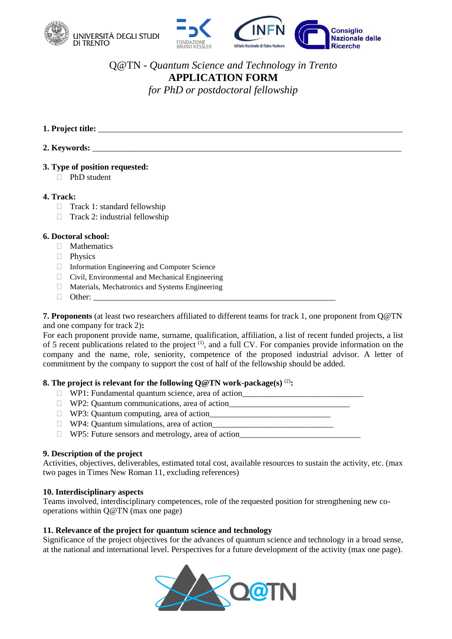



## Q@TN *- Quantum Science and Technology in Trento* **APPLICATION FORM** *for PhD or postdoctoral fellowship*

- **1. Project title:** \_\_\_\_\_\_\_\_\_\_\_\_\_\_\_\_\_\_\_\_\_\_\_\_\_\_\_\_\_\_\_\_\_\_\_\_\_\_\_\_\_\_\_\_\_\_\_\_\_\_\_\_\_\_\_\_\_\_\_\_\_\_\_\_\_\_\_\_\_\_\_\_\_
- **2. Keywords:** \_\_\_\_\_\_\_\_\_\_\_\_\_\_\_\_\_\_\_\_\_\_\_\_\_\_\_\_\_\_\_\_\_\_\_\_\_\_\_\_\_\_\_\_\_\_\_\_\_\_\_\_\_\_\_\_\_\_\_\_\_\_\_\_\_\_\_\_\_\_\_\_\_\_

#### **3. Type of position requested:**

□ PhD student

#### **4. Track:**

- $\Box$  Track 1: standard fellowship
- $\Box$  Track 2: industrial fellowship

### **6. Doctoral school:**

- **Mathematics**
- **Physics**
- Information Engineering and Computer Science
- $\Box$  Civil, Environmental and Mechanical Engineering
- Materials, Mechatronics and Systems Engineering
- $\Box$  Other:

**7. Proponents** (at least two researchers affiliated to different teams for track 1, one proponent from Q@TN and one company for track 2)**:** 

For each proponent provide name, surname, qualification, affiliation, a list of recent funded projects, a list of 5 recent publications related to the project <sup>(1)</sup>, and a full CV. For companies provide information on the company and the name, role, seniority, competence of the proposed industrial advisor. A letter of commitment by the company to support the cost of half of the fellowship should be added.

#### **8.** The project is relevant for the following  $Q@TN$  work-package(s)  $^{(2)}$ :

- □ WP1: Fundamental quantum science, area of action
- $\Box$  WP2: Quantum communications, area of action
- WP3: Quantum computing, area of action\_\_\_\_\_\_\_\_\_\_\_\_\_\_\_\_\_\_\_\_\_\_\_\_\_\_\_\_\_
- $\Box$  WP4: Quantum simulations, area of action
- $\Box$  WP5: Future sensors and metrology, area of action

#### **9. Description of the project**

Activities, objectives, deliverables, estimated total cost, available resources to sustain the activity, etc. (max two pages in Times New Roman 11, excluding references)

#### **10. Interdisciplinary aspects**

Teams involved, interdisciplinary competences, role of the requested position for strengthening new cooperations within Q@TN (max one page)

#### **11. Relevance of the project for quantum science and technology**

Significance of the project objectives for the advances of quantum science and technology in a broad sense, at the national and international level. Perspectives for a future development of the activity (max one page).